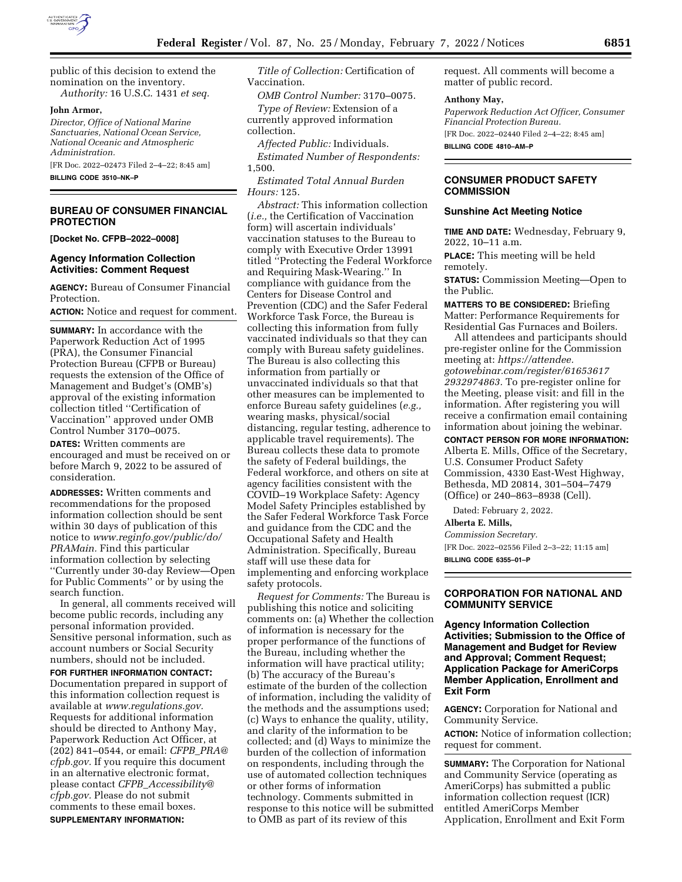

public of this decision to extend the nomination on the inventory. *Authority:* 16 U.S.C. 1431 *et seq.* 

#### **John Armor,**

*Director, Office of National Marine Sanctuaries, National Ocean Service, National Oceanic and Atmospheric Administration.* 

[FR Doc. 2022–02473 Filed 2–4–22; 8:45 am]

**BILLING CODE 3510–NK–P** 

## **BUREAU OF CONSUMER FINANCIAL PROTECTION**

**[Docket No. CFPB–2022–0008]** 

## **Agency Information Collection Activities: Comment Request**

**AGENCY:** Bureau of Consumer Financial Protection.

**ACTION:** Notice and request for comment.

**SUMMARY:** In accordance with the Paperwork Reduction Act of 1995 (PRA), the Consumer Financial Protection Bureau (CFPB or Bureau) requests the extension of the Office of Management and Budget's (OMB's) approval of the existing information collection titled ''Certification of Vaccination'' approved under OMB Control Number 3170–0075.

**DATES:** Written comments are encouraged and must be received on or before March 9, 2022 to be assured of consideration.

**ADDRESSES:** Written comments and recommendations for the proposed information collection should be sent within 30 days of publication of this notice to *[www.reginfo.gov/public/do/](http://www.reginfo.gov/public/do/PRAMain) [PRAMain.](http://www.reginfo.gov/public/do/PRAMain)* Find this particular information collection by selecting ''Currently under 30-day Review—Open for Public Comments'' or by using the search function.

In general, all comments received will become public records, including any personal information provided. Sensitive personal information, such as account numbers or Social Security numbers, should not be included. **FOR FURTHER INFORMATION CONTACT:**  Documentation prepared in support of this information collection request is available at *[www.regulations.gov.](http://www.regulations.gov)*  Requests for additional information should be directed to Anthony May, Paperwork Reduction Act Officer, at (202) 841–0544, or email: *CFPB*\_*[PRA@](mailto:CFPB_PRA@cfpb.gov) [cfpb.gov.](mailto:CFPB_PRA@cfpb.gov)* If you require this document in an alternative electronic format, please contact *CFPB*\_*[Accessibility@](mailto:CFPB_Accessibility@cfpb.gov) [cfpb.gov.](mailto:CFPB_Accessibility@cfpb.gov)* Please do not submit comments to these email boxes. **SUPPLEMENTARY INFORMATION:** 

*Title of Collection:* Certification of Vaccination.

*OMB Control Number:* 3170–0075.

*Type of Review:* Extension of a currently approved information collection.

*Affected Public:* Individuals. *Estimated Number of Respondents:*  1,500.

*Estimated Total Annual Burden Hours:* 125.

*Abstract:* This information collection (*i.e.,* the Certification of Vaccination form) will ascertain individuals' vaccination statuses to the Bureau to comply with Executive Order 13991 titled ''Protecting the Federal Workforce and Requiring Mask-Wearing.'' In compliance with guidance from the Centers for Disease Control and Prevention (CDC) and the Safer Federal Workforce Task Force, the Bureau is collecting this information from fully vaccinated individuals so that they can comply with Bureau safety guidelines. The Bureau is also collecting this information from partially or unvaccinated individuals so that that other measures can be implemented to enforce Bureau safety guidelines (*e.g.,*  wearing masks, physical/social distancing, regular testing, adherence to applicable travel requirements). The Bureau collects these data to promote the safety of Federal buildings, the Federal workforce, and others on site at agency facilities consistent with the COVID–19 Workplace Safety: Agency Model Safety Principles established by the Safer Federal Workforce Task Force and guidance from the CDC and the Occupational Safety and Health Administration. Specifically, Bureau staff will use these data for implementing and enforcing workplace safety protocols.

*Request for Comments:* The Bureau is publishing this notice and soliciting comments on: (a) Whether the collection of information is necessary for the proper performance of the functions of the Bureau, including whether the information will have practical utility; (b) The accuracy of the Bureau's estimate of the burden of the collection of information, including the validity of the methods and the assumptions used; (c) Ways to enhance the quality, utility, and clarity of the information to be collected; and (d) Ways to minimize the burden of the collection of information on respondents, including through the use of automated collection techniques or other forms of information technology. Comments submitted in response to this notice will be submitted to OMB as part of its review of this

request. All comments will become a matter of public record.

#### **Anthony May,**

*Paperwork Reduction Act Officer, Consumer Financial Protection Bureau.*  [FR Doc. 2022–02440 Filed 2–4–22; 8:45 am] **BILLING CODE 4810–AM–P** 

## **CONSUMER PRODUCT SAFETY COMMISSION**

### **Sunshine Act Meeting Notice**

**TIME AND DATE:** Wednesday, February 9, 2022, 10–11 a.m.

**PLACE:** This meeting will be held remotely.

**STATUS:** Commission Meeting—Open to the Public.

**MATTERS TO BE CONSIDERED:** Briefing Matter: Performance Requirements for Residential Gas Furnaces and Boilers.

All attendees and participants should pre-register online for the Commission meeting at: *[https://attendee.](https://attendee.gotowebinar.com/register/616536172932974863) [gotowebinar.com/register/61653617](https://attendee.gotowebinar.com/register/616536172932974863) [2932974863.](https://attendee.gotowebinar.com/register/616536172932974863)* To pre-register online for the Meeting, please visit: and fill in the information. After registering you will receive a confirmation email containing information about joining the webinar.

**CONTACT PERSON FOR MORE INFORMATION:**  Alberta E. Mills, Office of the Secretary, U.S. Consumer Product Safety Commission, 4330 East-West Highway,

Bethesda, MD 20814, 301–504–7479 (Office) or 240–863–8938 (Cell).

Dated: February 2, 2022.

#### **Alberta E. Mills,**

*Commission Secretary.*  [FR Doc. 2022–02556 Filed 2–3–22; 11:15 am] **BILLING CODE 6355–01–P** 

# **CORPORATION FOR NATIONAL AND COMMUNITY SERVICE**

**Agency Information Collection Activities; Submission to the Office of Management and Budget for Review and Approval; Comment Request; Application Package for AmeriCorps Member Application, Enrollment and Exit Form** 

**AGENCY:** Corporation for National and Community Service.

**ACTION:** Notice of information collection; request for comment.

**SUMMARY:** The Corporation for National and Community Service (operating as AmeriCorps) has submitted a public information collection request (ICR) entitled AmeriCorps Member Application, Enrollment and Exit Form